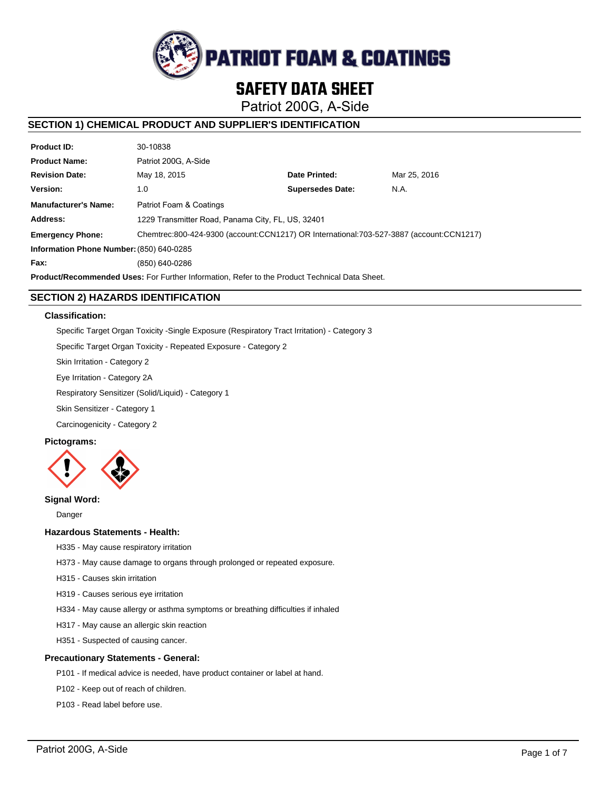

# **SAFETY DATA SHEET**

Patriot 200G, A-Side

# **SECTION 1) CHEMICAL PRODUCT AND SUPPLIER'S IDENTIFICATION**

| <b>Product ID:</b>                                                                                   | 30-10838                                                                                |                         |              |  |  |
|------------------------------------------------------------------------------------------------------|-----------------------------------------------------------------------------------------|-------------------------|--------------|--|--|
| <b>Product Name:</b>                                                                                 | Patriot 200G. A-Side                                                                    |                         |              |  |  |
| <b>Revision Date:</b>                                                                                | May 18, 2015                                                                            | Date Printed:           | Mar 25, 2016 |  |  |
| Version:                                                                                             | 1.0                                                                                     | <b>Supersedes Date:</b> | N.A.         |  |  |
| <b>Manufacturer's Name:</b>                                                                          | Patriot Foam & Coatings                                                                 |                         |              |  |  |
| Address:                                                                                             | 1229 Transmitter Road, Panama City, FL, US, 32401                                       |                         |              |  |  |
| <b>Emergency Phone:</b>                                                                              | Chemtrec:800-424-9300 (account:CCN1217) OR International:703-527-3887 (account:CCN1217) |                         |              |  |  |
| Information Phone Number: (850) 640-0285                                                             |                                                                                         |                         |              |  |  |
| Fax:                                                                                                 | (850) 640-0286                                                                          |                         |              |  |  |
| <b>Product/Recommended Uses:</b> For Further Information, Refer to the Product Technical Data Sheet. |                                                                                         |                         |              |  |  |

# **SECTION 2) HAZARDS IDENTIFICATION**

### **Classification:**

Specific Target Organ Toxicity -Single Exposure (Respiratory Tract Irritation) - Category 3

Specific Target Organ Toxicity - Repeated Exposure - Category 2

Skin Irritation - Category 2

Eye Irritation - Category 2A

Respiratory Sensitizer (Solid/Liquid) - Category 1

Skin Sensitizer - Category 1

Carcinogenicity - Category 2

### **Pictograms:**



# **Signal Word:**

Danger

### **Hazardous Statements - Health:**

- H335 May cause respiratory irritation
- H373 May cause damage to organs through prolonged or repeated exposure.
- H315 Causes skin irritation
- H319 Causes serious eye irritation
- H334 May cause allergy or asthma symptoms or breathing difficulties if inhaled
- H317 May cause an allergic skin reaction
- H351 Suspected of causing cancer.

## **Precautionary Statements - General:**

- P101 If medical advice is needed, have product container or label at hand.
- P102 Keep out of reach of children.
- P103 Read label before use.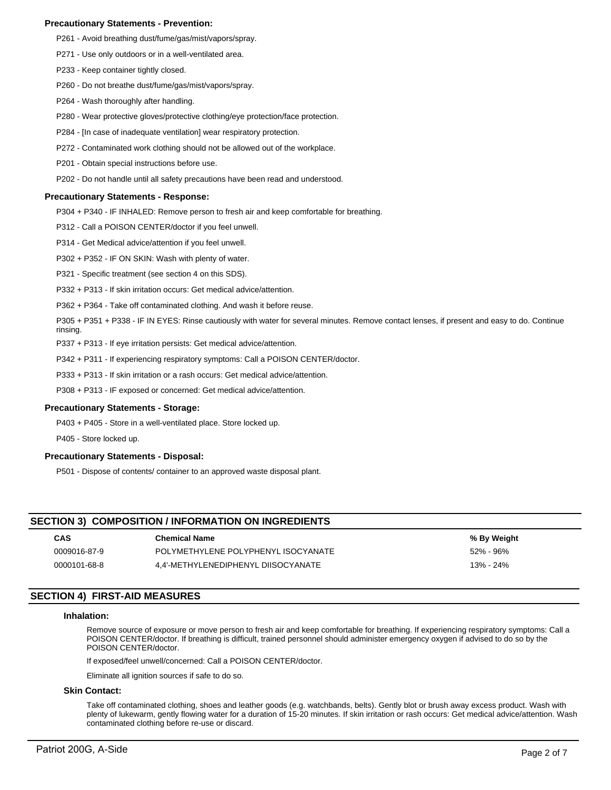### **Precautionary Statements - Prevention:**

- P261 Avoid breathing dust/fume/gas/mist/vapors/spray.
- P271 Use only outdoors or in a well-ventilated area.
- P233 Keep container tightly closed.
- P260 Do not breathe dust/fume/gas/mist/vapors/spray.
- P264 Wash thoroughly after handling.
- P280 Wear protective gloves/protective clothing/eye protection/face protection.
- P284 [In case of inadequate ventilation] wear respiratory protection.
- P272 Contaminated work clothing should not be allowed out of the workplace.
- P201 Obtain special instructions before use.
- P202 Do not handle until all safety precautions have been read and understood.

### **Precautionary Statements - Response:**

P304 + P340 - IF INHALED: Remove person to fresh air and keep comfortable for breathing.

P312 - Call a POISON CENTER/doctor if you feel unwell.

- P314 Get Medical advice/attention if you feel unwell.
- P302 + P352 IF ON SKIN: Wash with plenty of water.
- P321 Specific treatment (see section 4 on this SDS).
- P332 + P313 If skin irritation occurs: Get medical advice/attention.
- P362 + P364 Take off contaminated clothing. And wash it before reuse.
- P305 + P351 + P338 IF IN EYES: Rinse cautiously with water for several minutes. Remove contact lenses, if present and easy to do. Continue rinsing.
- P337 + P313 If eye irritation persists: Get medical advice/attention.
- P342 + P311 If experiencing respiratory symptoms: Call a POISON CENTER/doctor.
- P333 + P313 If skin irritation or a rash occurs: Get medical advice/attention.
- P308 + P313 IF exposed or concerned: Get medical advice/attention.

### **Precautionary Statements - Storage:**

P403 + P405 - Store in a well-ventilated place. Store locked up.

P405 - Store locked up.

### **Precautionary Statements - Disposal:**

P501 - Dispose of contents/ container to an approved waste disposal plant.

# **SECTION 3) COMPOSITION / INFORMATION ON INGREDIENTS**

| <b>CAS</b>   | <b>Chemical Name</b>                | % By Weight |
|--------------|-------------------------------------|-------------|
| 0009016-87-9 | POLYMETHYLENE POLYPHENYL ISOCYANATE | 52% - 96%   |
| 0000101-68-8 | 4.4'-METHYLENEDIPHENYL DIISOCYANATE | 13% - 24%   |

# **SECTION 4) FIRST-AID MEASURES**

### **Inhalation:**

Remove source of exposure or move person to fresh air and keep comfortable for breathing. If experiencing respiratory symptoms: Call a POISON CENTER/doctor. If breathing is difficult, trained personnel should administer emergency oxygen if advised to do so by the POISON CENTER/doctor.

If exposed/feel unwell/concerned: Call a POISON CENTER/doctor.

Eliminate all ignition sources if safe to do so.

### **Skin Contact:**

Take off contaminated clothing, shoes and leather goods (e.g. watchbands, belts). Gently blot or brush away excess product. Wash with plenty of lukewarm, gently flowing water for a duration of 15-20 minutes. If skin irritation or rash occurs: Get medical advice/attention. Wash contaminated clothing before re-use or discard.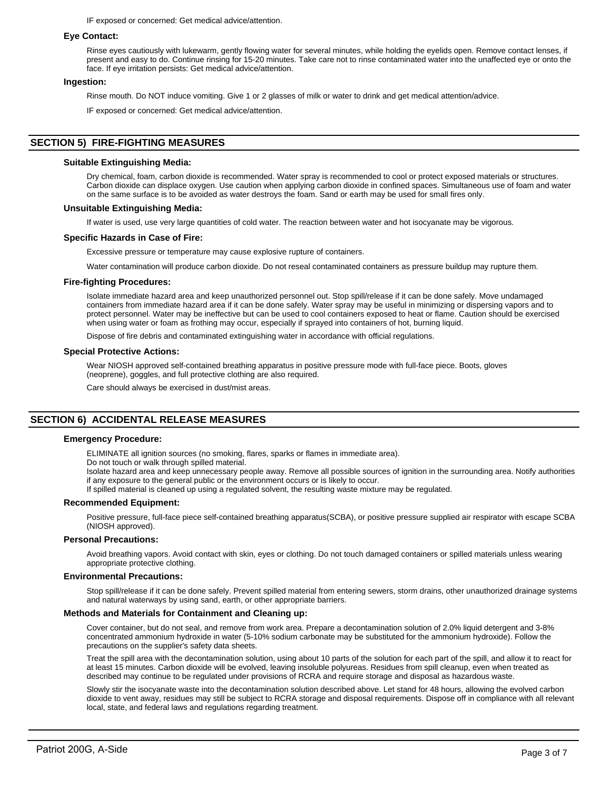IF exposed or concerned: Get medical advice/attention.

### **Eye Contact:**

Rinse eyes cautiously with lukewarm, gently flowing water for several minutes, while holding the eyelids open. Remove contact lenses, if present and easy to do. Continue rinsing for 15-20 minutes. Take care not to rinse contaminated water into the unaffected eye or onto the face. If eye irritation persists: Get medical advice/attention.

### **Ingestion:**

Rinse mouth. Do NOT induce vomiting. Give 1 or 2 glasses of milk or water to drink and get medical attention/advice.

IF exposed or concerned: Get medical advice/attention.

# **SECTION 5) FIRE-FIGHTING MEASURES**

### **Suitable Extinguishing Media:**

Dry chemical, foam, carbon dioxide is recommended. Water spray is recommended to cool or protect exposed materials or structures. Carbon dioxide can displace oxygen. Use caution when applying carbon dioxide in confined spaces. Simultaneous use of foam and water on the same surface is to be avoided as water destroys the foam. Sand or earth may be used for small fires only.

### **Unsuitable Extinguishing Media:**

If water is used, use very large quantities of cold water. The reaction between water and hot isocyanate may be vigorous.

### **Specific Hazards in Case of Fire:**

Excessive pressure or temperature may cause explosive rupture of containers.

Water contamination will produce carbon dioxide. Do not reseal contaminated containers as pressure buildup may rupture them.

### **Fire-fighting Procedures:**

Isolate immediate hazard area and keep unauthorized personnel out. Stop spill/release if it can be done safely. Move undamaged containers from immediate hazard area if it can be done safely. Water spray may be useful in minimizing or dispersing vapors and to protect personnel. Water may be ineffective but can be used to cool containers exposed to heat or flame. Caution should be exercised when using water or foam as frothing may occur, especially if sprayed into containers of hot, burning liquid.

Dispose of fire debris and contaminated extinguishing water in accordance with official regulations.

### **Special Protective Actions:**

Wear NIOSH approved self-contained breathing apparatus in positive pressure mode with full-face piece. Boots, gloves (neoprene), goggles, and full protective clothing are also required.

Care should always be exercised in dust/mist areas.

# **SECTION 6) ACCIDENTAL RELEASE MEASURES**

### **Emergency Procedure:**

ELIMINATE all ignition sources (no smoking, flares, sparks or flames in immediate area).

Do not touch or walk through spilled material.

Isolate hazard area and keep unnecessary people away. Remove all possible sources of ignition in the surrounding area. Notify authorities if any exposure to the general public or the environment occurs or is likely to occur.

If spilled material is cleaned up using a regulated solvent, the resulting waste mixture may be regulated.

### **Recommended Equipment:**

Positive pressure, full-face piece self-contained breathing apparatus(SCBA), or positive pressure supplied air respirator with escape SCBA (NIOSH approved).

### **Personal Precautions:**

Avoid breathing vapors. Avoid contact with skin, eyes or clothing. Do not touch damaged containers or spilled materials unless wearing appropriate protective clothing.

### **Environmental Precautions:**

Stop spill/release if it can be done safely. Prevent spilled material from entering sewers, storm drains, other unauthorized drainage systems and natural waterways by using sand, earth, or other appropriate barriers.

# **Methods and Materials for Containment and Cleaning up:**

Cover container, but do not seal, and remove from work area. Prepare a decontamination solution of 2.0% liquid detergent and 3-8% concentrated ammonium hydroxide in water (5-10% sodium carbonate may be substituted for the ammonium hydroxide). Follow the precautions on the supplier's safety data sheets.

Treat the spill area with the decontamination solution, using about 10 parts of the solution for each part of the spill, and allow it to react for at least 15 minutes. Carbon dioxide will be evolved, leaving insoluble polyureas. Residues from spill cleanup, even when treated as described may continue to be regulated under provisions of RCRA and require storage and disposal as hazardous waste.

Slowly stir the isocyanate waste into the decontamination solution described above. Let stand for 48 hours, allowing the evolved carbon dioxide to vent away, residues may still be subject to RCRA storage and disposal requirements. Dispose off in compliance with all relevant local, state, and federal laws and regulations regarding treatment.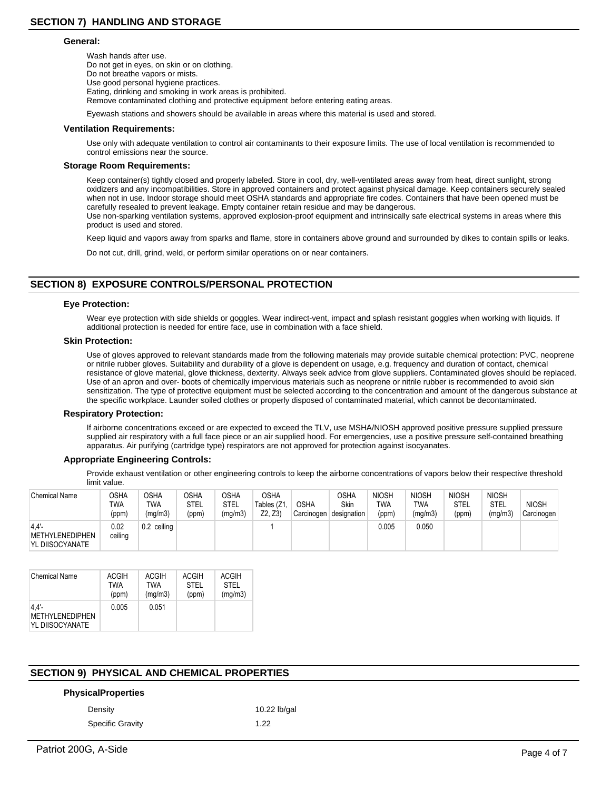### **General:**

Wash hands after use. Do not get in eyes, on skin or on clothing. Do not breathe vapors or mists. Use good personal hygiene practices. Eating, drinking and smoking in work areas is prohibited. Remove contaminated clothing and protective equipment before entering eating areas.

Eyewash stations and showers should be available in areas where this material is used and stored.

### **Ventilation Requirements:**

Use only with adequate ventilation to control air contaminants to their exposure limits. The use of local ventilation is recommended to control emissions near the source.

### **Storage Room Requirements:**

Keep container(s) tightly closed and properly labeled. Store in cool, dry, well-ventilated areas away from heat, direct sunlight, strong oxidizers and any incompatibilities. Store in approved containers and protect against physical damage. Keep containers securely sealed when not in use. Indoor storage should meet OSHA standards and appropriate fire codes. Containers that have been opened must be carefully resealed to prevent leakage. Empty container retain residue and may be dangerous. Use non-sparking ventilation systems, approved explosion-proof equipment and intrinsically safe electrical systems in areas where this product is used and stored.

Keep liquid and vapors away from sparks and flame, store in containers above ground and surrounded by dikes to contain spills or leaks.

Do not cut, drill, grind, weld, or perform similar operations on or near containers.

# **SECTION 8) EXPOSURE CONTROLS/PERSONAL PROTECTION**

### **Eye Protection:**

Wear eye protection with side shields or goggles. Wear indirect-vent, impact and splash resistant goggles when working with liquids. If additional protection is needed for entire face, use in combination with a face shield.

### **Skin Protection:**

Use of gloves approved to relevant standards made from the following materials may provide suitable chemical protection: PVC, neoprene or nitrile rubber gloves. Suitability and durability of a glove is dependent on usage, e.g. frequency and duration of contact, chemical resistance of glove material, glove thickness, dexterity. Always seek advice from glove suppliers. Contaminated gloves should be replaced. Use of an apron and over- boots of chemically impervious materials such as neoprene or nitrile rubber is recommended to avoid skin sensitization. The type of protective equipment must be selected according to the concentration and amount of the dangerous substance at the specific workplace. Launder soiled clothes or properly disposed of contaminated material, which cannot be decontaminated.

### **Respiratory Protection:**

If airborne concentrations exceed or are expected to exceed the TLV, use MSHA/NIOSH approved positive pressure supplied pressure supplied air respiratory with a full face piece or an air supplied hood. For emergencies, use a positive pressure self-contained breathing apparatus. Air purifying (cartridge type) respirators are not approved for protection against isocyanates.

### **Appropriate Engineering Controls:**

Provide exhaust ventilation or other engineering controls to keep the airborne concentrations of vapors below their respective threshold limit value.

| <b>Chemical Name</b>                       | OSHA<br>TWA<br>(ppm) | <b>OSHA</b><br>TWA<br>(mq/m3) | <b>OSHA</b><br>STEL<br>(ppm) | OSHA<br>STEL<br>(mg/m3) | <b>OSHA</b><br>Tables (Z1,<br>Z2. Z3 | <b>OSHA</b><br>Carcinogen | OSHA<br>Skin<br>designation | <b>NIOSH</b><br>TWA<br>(ppm) | <b>NIOSH</b><br>TWA<br>(mg/m3) | <b>NIOSH</b><br>STEL<br>(ppm) | <b>NIOSH</b><br><b>STEL</b><br>(ma/m3) | <b>NIOSH</b><br>Carcinogen |
|--------------------------------------------|----------------------|-------------------------------|------------------------------|-------------------------|--------------------------------------|---------------------------|-----------------------------|------------------------------|--------------------------------|-------------------------------|----------------------------------------|----------------------------|
| 4.4'<br>METHYLENEDIPHEN<br>YL DIISOCYANATE | 0.02<br>ceiling      | 0.2 ceiling                   |                              |                         |                                      |                           |                             | 0.005                        | 0.050                          |                               |                                        |                            |

| <b>Chemical Name</b>                                  | <b>ACGIH</b> | ACGIH   | <b>ACGIH</b> | <b>ACGIH</b> |
|-------------------------------------------------------|--------------|---------|--------------|--------------|
|                                                       | <b>TWA</b>   | TWA     | STFI         | STFI         |
|                                                       | (ppm)        | (mg/m3) | (ppm)        | (mg/m3)      |
| $4.4'$ -<br><b>METHYLENEDIPHEN</b><br>YL DIISOCYANATE | 0.005        | 0.051   |              |              |

# **SECTION 9) PHYSICAL AND CHEMICAL PROPERTIES**

### **PhysicalProperties**

Specific Gravity 1.22

Density 10.22 lb/gal

Patriot 200G, A-Side Page 4 of 7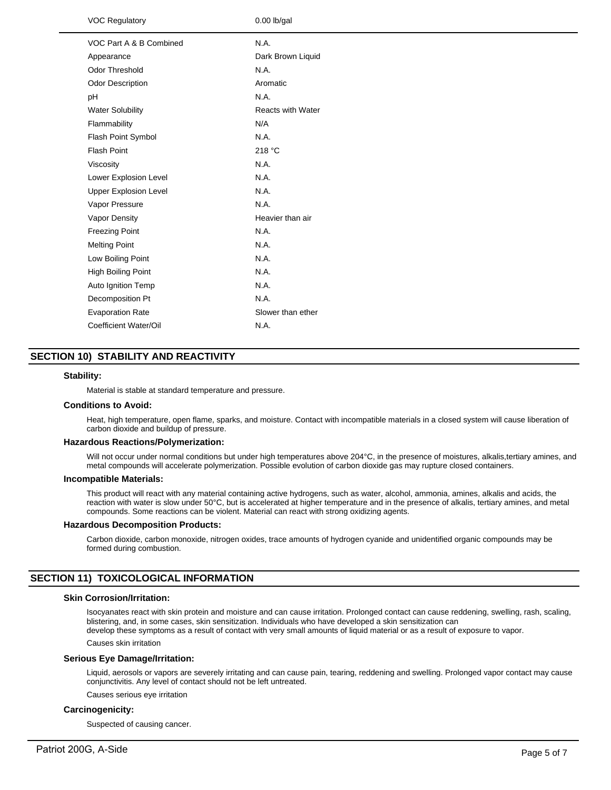| <b>VOC Regulatory</b>        | $0.00$ lb/gal            |
|------------------------------|--------------------------|
| VOC Part A & B Combined      | N.A.                     |
| Appearance                   | Dark Brown Liquid        |
| Odor Threshold               | N.A.                     |
| Odor Description             | Aromatic                 |
| рH                           | N.A.                     |
| <b>Water Solubility</b>      | <b>Reacts with Water</b> |
| Flammability                 | N/A                      |
| Flash Point Symbol           | N.A.                     |
| <b>Flash Point</b>           | 218 °C                   |
| Viscosity                    | N.A.                     |
| Lower Explosion Level        | N.A.                     |
| <b>Upper Explosion Level</b> | N.A.                     |
| Vapor Pressure               | N.A.                     |
| Vapor Density                | Heavier than air         |
| <b>Freezing Point</b>        | N.A.                     |
| <b>Melting Point</b>         | N.A.                     |
| Low Boiling Point            | N.A.                     |
| High Boiling Point           | N.A.                     |
| Auto Ignition Temp           | N.A.                     |
| Decomposition Pt             | N.A.                     |
| <b>Evaporation Rate</b>      | Slower than ether        |
| Coefficient Water/Oil        | N.A.                     |
|                              |                          |

# **SECTION 10) STABILITY AND REACTIVITY**

### **Stability:**

Material is stable at standard temperature and pressure.

### **Conditions to Avoid:**

Heat, high temperature, open flame, sparks, and moisture. Contact with incompatible materials in a closed system will cause liberation of carbon dioxide and buildup of pressure.

### **Hazardous Reactions/Polymerization:**

Will not occur under normal conditions but under high temperatures above 204°C, in the presence of moistures, alkalis,tertiary amines, and metal compounds will accelerate polymerization. Possible evolution of carbon dioxide gas may rupture closed containers.

#### **Incompatible Materials:**

This product will react with any material containing active hydrogens, such as water, alcohol, ammonia, amines, alkalis and acids, the reaction with water is slow under 50°C, but is accelerated at higher temperature and in the presence of alkalis, tertiary amines, and metal compounds. Some reactions can be violent. Material can react with strong oxidizing agents.

# **Hazardous Decomposition Products:**

Carbon dioxide, carbon monoxide, nitrogen oxides, trace amounts of hydrogen cyanide and unidentified organic compounds may be formed during combustion.

# **SECTION 11) TOXICOLOGICAL INFORMATION**

### **Skin Corrosion/Irritation:**

Isocyanates react with skin protein and moisture and can cause irritation. Prolonged contact can cause reddening, swelling, rash, scaling, blistering, and, in some cases, skin sensitization. Individuals who have developed a skin sensitization can develop these symptoms as a result of contact with very small amounts of liquid material or as a result of exposure to vapor.

Causes skin irritation

### **Serious Eye Damage/Irritation:**

Liquid, aerosols or vapors are severely irritating and can cause pain, tearing, reddening and swelling. Prolonged vapor contact may cause conjunctivitis. Any level of contact should not be left untreated.

Causes serious eye irritation

### **Carcinogenicity:**

Suspected of causing cancer.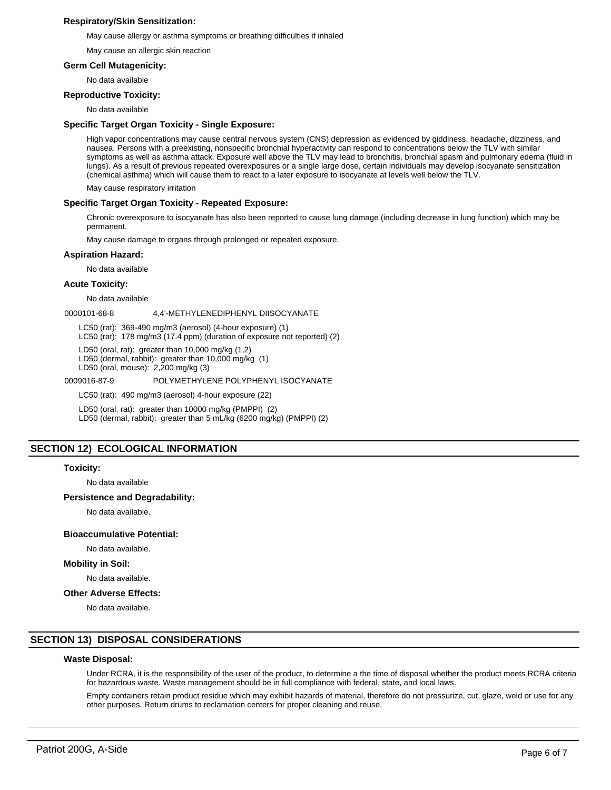### **Respiratory/Skin Sensitization:**

May cause allergy or asthma symptoms or breathing difficulties if inhaled

May cause an allergic skin reaction

### **Germ Cell Mutagenicity:**

No data available

### **Reproductive Toxicity:**

No data available

### **Specific Target Organ Toxicity - Single Exposure:**

High vapor concentrations may cause central nervous system (CNS) depression as evidenced by giddiness, headache, dizziness, and nausea. Persons with a preexisting, nonspecific bronchial hyperactivity can respond to concentrations below the TLV with similar symptoms as well as asthma attack. Exposure well above the TLV may lead to bronchitis, bronchial spasm and pulmonary edema (fluid in lungs). As a result of previous repeated overexposures or a single large dose, certain individuals may develop isocyanate sensitization (chemical asthma) which will cause them to react to a later exposure to isocyanate at levels well below the TLV.

May cause respiratory irritation

### **Specific Target Organ Toxicity - Repeated Exposure:**

Chronic overexposure to isocyanate has also been reported to cause lung damage (including decrease in lung function) which may be permanent.

May cause damage to organs through prolonged or repeated exposure.

### **Aspiration Hazard:**

No data available

### **Acute Toxicity:**

No data available

0000101-68-8 4,4'-METHYLENEDIPHENYL DIISOCYANATE

LC50 (rat): 369-490 mg/m3 (aerosol) (4-hour exposure) (1)

LC50 (rat): 178 mg/m3 (17.4 ppm) (duration of exposure not reported) (2)

LD50 (oral, rat): greater than 10,000 mg/kg (1,2)

LD50 (dermal, rabbit): greater than 10,000 mg/kg (1)

LD50 (oral, mouse): 2,200 mg/kg (3)

### 0009016-87-9 POLYMETHYLENE POLYPHENYL ISOCYANATE

LC50 (rat): 490 mg/m3 (aerosol) 4-hour exposure (22)

LD50 (oral, rat): greater than 10000 mg/kg (PMPPI) (2)

LD50 (dermal, rabbit): greater than 5 mL/kg (6200 mg/kg) (PMPPI) (2)

# **SECTION 12) ECOLOGICAL INFORMATION**

### **Toxicity:**

No data available

### **Persistence and Degradability:**

No data available.

### **Bioaccumulative Potential:**

No data available.

### **Mobility in Soil:**

No data available.

### **Other Adverse Effects:**

No data available.

### **SECTION 13) DISPOSAL CONSIDERATIONS**

## **Waste Disposal:**

Under RCRA, it is the responsibility of the user of the product, to determine a the time of disposal whether the product meets RCRA criteria for hazardous waste. Waste management should be in full compliance with federal, state, and local laws.

Empty containers retain product residue which may exhibit hazards of material, therefore do not pressurize, cut, glaze, weld or use for any other purposes. Return drums to reclamation centers for proper cleaning and reuse.